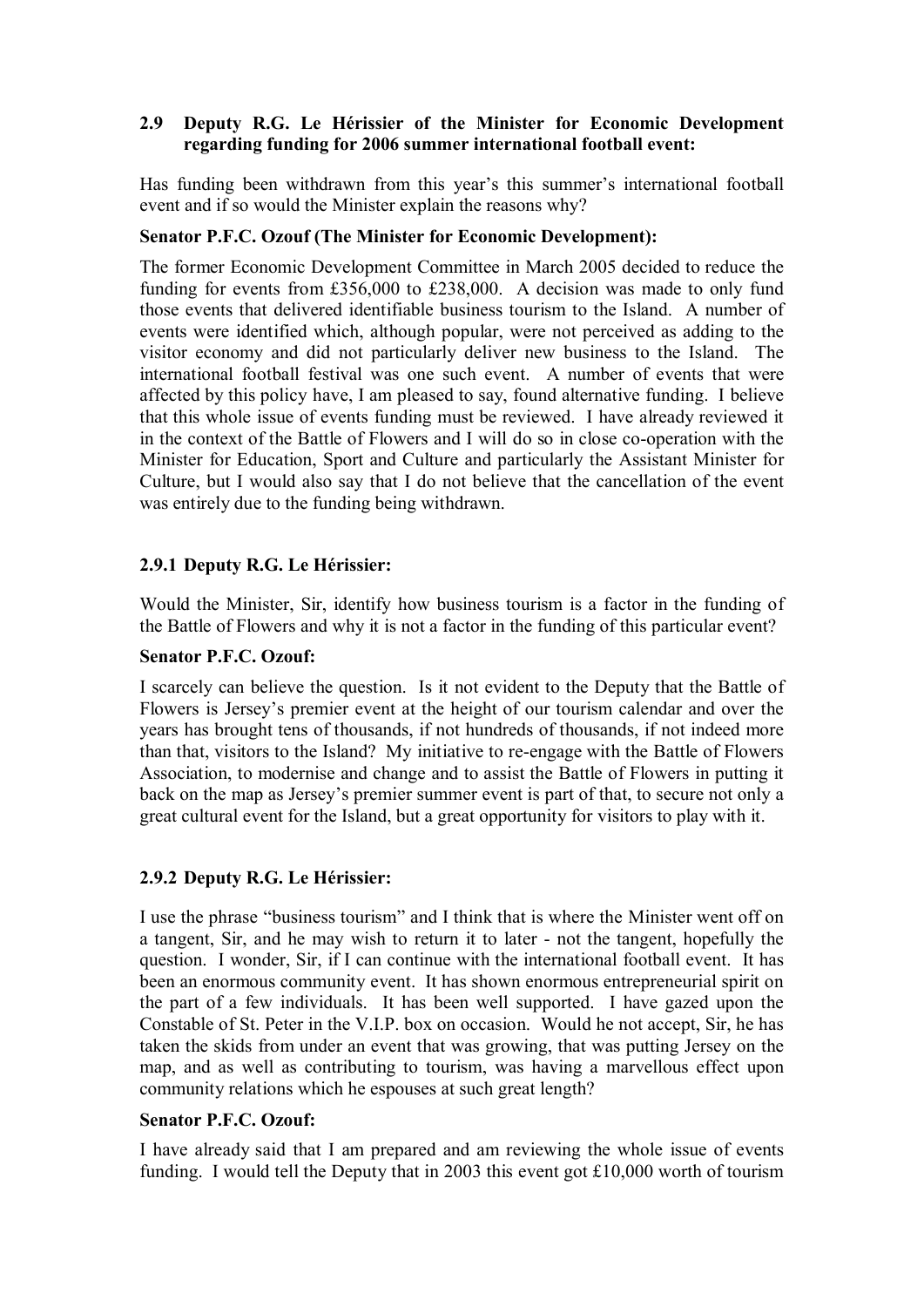# **2.9** � **Deputy R.G. Le Hérissier of the Minister for Economic Development regarding funding for 2006 summer international football event:**

Has funding been withdrawn from this year's this summer's international football event and if so would the Minister explain the reasons why?

### **Senator P.F.C. Ozouf (The Minister for Economic Development):**

The former Economic Development Committee in March 2005 decided to reduce the funding for events from £356,000 to £238,000. A decision was made to only fund those events that delivered identifiable business tourism to the Island. A number of events were identified which, although popular, were not perceived as adding to the visitor economy and did not particularly deliver new business to the Island. The international football festival was one such event. A number of events that were affected by this policy have, I am pleased to say, found alternative funding. I believe that this whole issue of events funding must be reviewed. I have already reviewed it in the context of the Battle of Flowers and I will do so in close co-operation with the Minister for Education, Sport and Culture and particularly the Assistant Minister for Culture, but I would also say that I do not believe that the cancellation of the event was entirely due to the funding being withdrawn.

# **2.9.1 Deputy R.G. Le Hérissier:**

Would the Minister, Sir, identify how business tourism is a factor in the funding of the Battle of Flowers and why it is not a factor in the funding of this particular event?

### **Senator P.F.C. Ozouf:**

I scarcely can believe the question. Is it not evident to the Deputy that the Battle of Flowers is Jersey's premier event at the height of our tourism calendar and over the years has brought tens of thousands, if not hundreds of thousands, if not indeed more than that, visitors to the Island? My initiative to re-engage with the Battle of Flowers Association, to modernise and change and to assist the Battle of Flowers in putting it back on the map as Jersey's premier summer event is part of that, to secure not only a great cultural event for the Island, but a great opportunity for visitors to play with it.

# **2.9.2 Deputy R.G. Le Hérissier:**

I use the phrase "business tourism" and I think that is where the Minister went off on a tangent, Sir, and he may wish to return it to later - not the tangent, hopefully the question. I wonder, Sir, if I can continue with the international football event. It has been an enormous community event. It has shown enormous entrepreneurial spirit on the part of a few individuals. It has been well supported. I have gazed upon the Constable of St. Peter in the V.I.P. box on occasion. Would he not accept, Sir, he has taken the skids from under an event that was growing, that was putting Jersey on the map, and as well as contributing to tourism, was having a marvellous effect upon community relations which he espouses at such great length?

#### **Senator P.F.C. Ozouf:**

I have already said that I am prepared and am reviewing the whole issue of events funding. I would tell the Deputy that in 2003 this event got £10,000 worth of tourism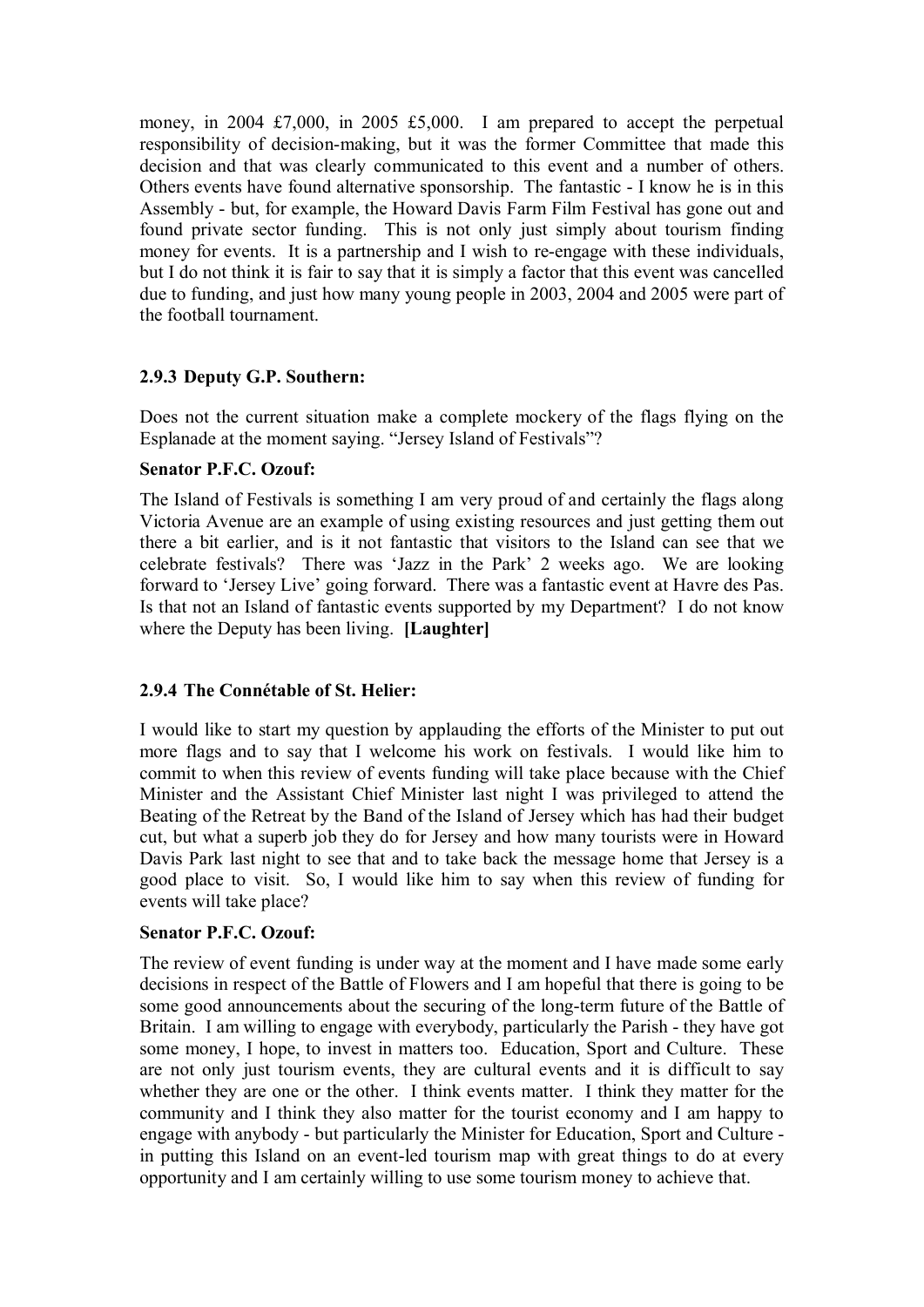money, in 2004 £7,000, in 2005 £5,000. I am prepared to accept the perpetual responsibility of decision-making, but it was the former Committee that made this decision and that was clearly communicated to this event and a number of others. Others events have found alternative sponsorship. The fantastic - I know he is in this Assembly - but, for example, the Howard Davis Farm Film Festival has gone out and found private sector funding. This is not only just simply about tourism finding money for events. It is a partnership and I wish to re-engage with these individuals, but I do not think it is fair to say that it is simply a factor that this event was cancelled due to funding, and just how many young people in 2003, 2004 and 2005 were part of the football tournament.

# **2.9.3 Deputy G.P. Southern:**

Does not the current situation make a complete mockery of the flags flying on the Esplanade at the moment saying. "Jersey Island of Festivals"?

#### **Senator P.F.C. Ozouf:**

The Island of Festivals is something I am very proud of and certainly the flags along Victoria Avenue are an example of using existing resources and just getting them out there a bit earlier, and is it not fantastic that visitors to the Island can see that we celebrate festivals? There was 'Jazz in the Park' 2 weeks ago. We are looking forward to 'Jersey Live' going forward. There was a fantastic event at Havre des Pas. Is that not an Island of fantastic events supported by my Department? I do not know where the Deputy has been living. **[Laughter]** 

# **2.9.4 The Connétable of St. Helier:**

I would like to start my question by applauding the efforts of the Minister to put out more flags and to say that I welcome his work on festivals. I would like him to commit to when this review of events funding will take place because with the Chief Minister and the Assistant Chief Minister last night I was privileged to attend the Beating of the Retreat by the Band of the Island of Jersey which has had their budget cut, but what a superb job they do for Jersey and how many tourists were in Howard Davis Park last night to see that and to take back the message home that Jersey is a good place to visit. So, I would like him to say when this review of funding for events will take place?

#### **Senator P.F.C. Ozouf:**

The review of event funding is under way at the moment and I have made some early decisions in respect of the Battle of Flowers and I am hopeful that there is going to be some good announcements about the securing of the long-term future of the Battle of Britain. I am willing to engage with everybody, particularly the Parish - they have got some money, I hope, to invest in matters too. Education, Sport and Culture. These are not only just tourism events, they are cultural events and it is difficult to say whether they are one or the other. I think events matter. I think they matter for the community and I think they also matter for the tourist economy and I am happy to engage with anybody - but particularly the Minister for Education, Sport and Culture in putting this Island on an event-led tourism map with great things to do at every opportunity and I am certainly willing to use some tourism money to achieve that.